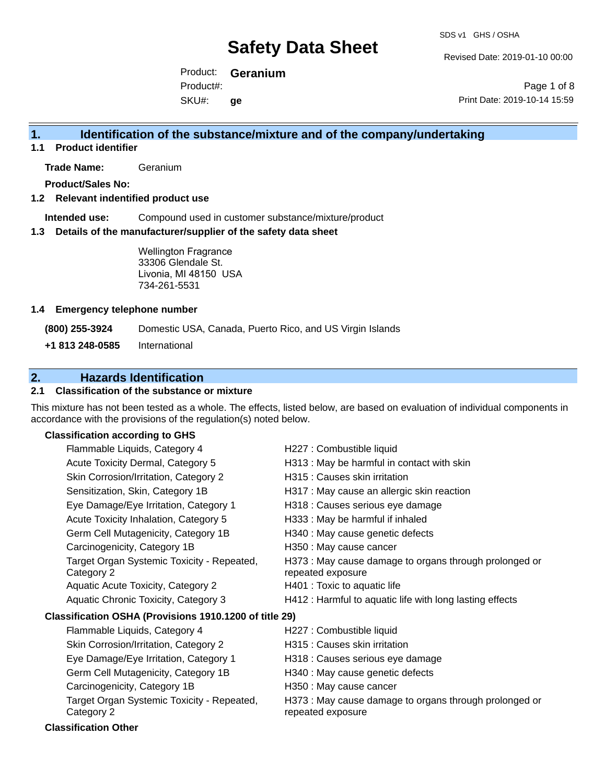Revised Date: 2019-01-10 00:00

Product: **Geranium** SKU#: Product#: **ge**

Page 1 of 8 Print Date: 2019-10-14 15:59

#### **1. Identification of the substance/mixture and of the company/undertaking**

**1.1 Product identifier**

**Trade Name:** Geranium

**Product/Sales No:**

#### **1.2 Relevant indentified product use**

**Intended use:** Compound used in customer substance/mixture/product

#### **1.3 Details of the manufacturer/supplier of the safety data sheet**

Wellington Fragrance 33306 Glendale St. Livonia, MI 48150 USA 734-261-5531

#### **1.4 Emergency telephone number**

**(800) 255-3924** Domestic USA, Canada, Puerto Rico, and US Virgin Islands

**+1 813 248-0585** International

### **2. Hazards Identification**

#### **2.1 Classification of the substance or mixture**

This mixture has not been tested as a whole. The effects, listed below, are based on evaluation of individual components in accordance with the provisions of the regulation(s) noted below.

#### **Classification according to GHS**

| H313 : May be harmful in contact with skin<br>Acute Toxicity Dermal, Category 5<br>H315 : Causes skin irritation<br>Skin Corrosion/Irritation, Category 2<br>Sensitization, Skin, Category 1B<br>H317 : May cause an allergic skin reaction<br>Eye Damage/Eye Irritation, Category 1<br>H318 : Causes serious eye damage<br>Acute Toxicity Inhalation, Category 5<br>H333: May be harmful if inhaled<br>Germ Cell Mutagenicity, Category 1B<br>H340 : May cause genetic defects<br>Carcinogenicity, Category 1B<br>H350 : May cause cancer<br>H373 : May cause damage to organs through prolonged or<br>Target Organ Systemic Toxicity - Repeated, |  |
|----------------------------------------------------------------------------------------------------------------------------------------------------------------------------------------------------------------------------------------------------------------------------------------------------------------------------------------------------------------------------------------------------------------------------------------------------------------------------------------------------------------------------------------------------------------------------------------------------------------------------------------------------|--|
|                                                                                                                                                                                                                                                                                                                                                                                                                                                                                                                                                                                                                                                    |  |
|                                                                                                                                                                                                                                                                                                                                                                                                                                                                                                                                                                                                                                                    |  |
|                                                                                                                                                                                                                                                                                                                                                                                                                                                                                                                                                                                                                                                    |  |
|                                                                                                                                                                                                                                                                                                                                                                                                                                                                                                                                                                                                                                                    |  |
|                                                                                                                                                                                                                                                                                                                                                                                                                                                                                                                                                                                                                                                    |  |
|                                                                                                                                                                                                                                                                                                                                                                                                                                                                                                                                                                                                                                                    |  |
|                                                                                                                                                                                                                                                                                                                                                                                                                                                                                                                                                                                                                                                    |  |
| repeated exposure<br>Category 2                                                                                                                                                                                                                                                                                                                                                                                                                                                                                                                                                                                                                    |  |
| H401 : Toxic to aquatic life<br><b>Aquatic Acute Toxicity, Category 2</b>                                                                                                                                                                                                                                                                                                                                                                                                                                                                                                                                                                          |  |
| H412 : Harmful to aquatic life with long lasting effects<br>Aquatic Chronic Toxicity, Category 3                                                                                                                                                                                                                                                                                                                                                                                                                                                                                                                                                   |  |
| Classification OSHA (Provisions 1910.1200 of title 29)                                                                                                                                                                                                                                                                                                                                                                                                                                                                                                                                                                                             |  |
| Flammable Liquids, Category 4<br>H227 : Combustible liquid                                                                                                                                                                                                                                                                                                                                                                                                                                                                                                                                                                                         |  |
| Skin Corrosion/Irritation, Category 2<br>H315 : Causes skin irritation                                                                                                                                                                                                                                                                                                                                                                                                                                                                                                                                                                             |  |
|                                                                                                                                                                                                                                                                                                                                                                                                                                                                                                                                                                                                                                                    |  |
| Eye Damage/Eye Irritation, Category 1<br>H318 : Causes serious eye damage                                                                                                                                                                                                                                                                                                                                                                                                                                                                                                                                                                          |  |

- Carcinogenicity, Category 1B H350 : May cause cancer
	- H373 : May cause damage to organs through prolonged or repeated exposure

#### Category 2 **Classification Other**

Target Organ Systemic Toxicity - Repeated,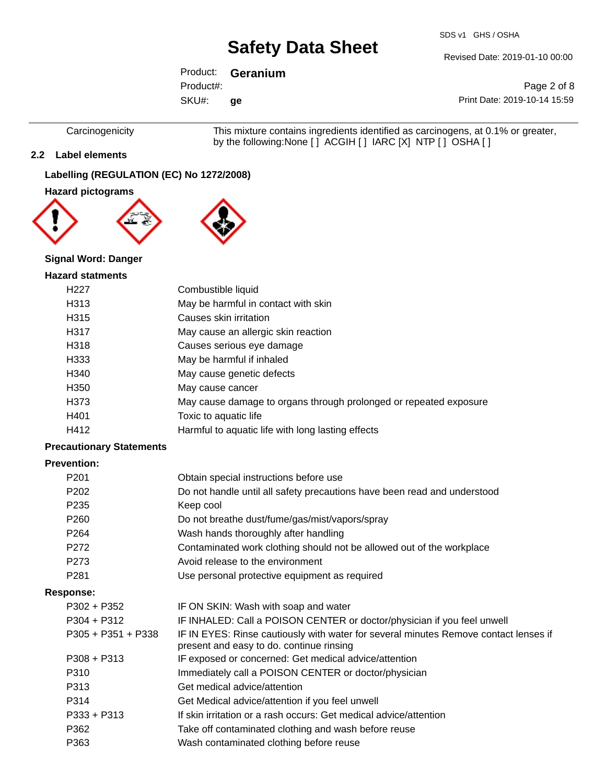SDS v1 GHS / OSHA

Revised Date: 2019-01-10 00:00

### Product: **Geranium**

Product#:

SKU#: **ge**

Page 2 of 8 Print Date: 2019-10-14 15:59

Carcinogenicity This mixture contains ingredients identified as carcinogens, at 0.1% or greater, by the following:None [ ] ACGIH [ ] IARC [X] NTP [ ] OSHA [ ]

#### **2.2 Label elements**

#### **Labelling (REGULATION (EC) No 1272/2008)**

#### **Hazard pictograms**





#### **Signal Word: Danger**

#### **Hazard statments**

| H <sub>22</sub> 7 | Combustible liquid                                                |
|-------------------|-------------------------------------------------------------------|
| H313              | May be harmful in contact with skin                               |
| H315              | Causes skin irritation                                            |
| H317              | May cause an allergic skin reaction                               |
| H318              | Causes serious eye damage                                         |
| H333              | May be harmful if inhaled                                         |
| H340              | May cause genetic defects                                         |
| H <sub>350</sub>  | May cause cancer                                                  |
| H373              | May cause damage to organs through prolonged or repeated exposure |
| H401              | Toxic to aquatic life                                             |
| H412              | Harmful to aquatic life with long lasting effects                 |

#### **Precautionary Statements**

#### **Prevention:**

| P <sub>202</sub><br>Do not handle until all safety precautions have been read and understood<br>P <sub>235</sub><br>Keep cool<br>P <sub>260</sub><br>Do not breathe dust/fume/gas/mist/vapors/spray<br>P <sub>264</sub><br>Wash hands thoroughly after handling |  |
|-----------------------------------------------------------------------------------------------------------------------------------------------------------------------------------------------------------------------------------------------------------------|--|
|                                                                                                                                                                                                                                                                 |  |
|                                                                                                                                                                                                                                                                 |  |
|                                                                                                                                                                                                                                                                 |  |
|                                                                                                                                                                                                                                                                 |  |
| P272<br>Contaminated work clothing should not be allowed out of the workplace                                                                                                                                                                                   |  |
| P273<br>Avoid release to the environment                                                                                                                                                                                                                        |  |
| P <sub>281</sub><br>Use personal protective equipment as required                                                                                                                                                                                               |  |
| Response:                                                                                                                                                                                                                                                       |  |
| $P302 + P352$<br>IF ON SKIN: Wash with soap and water                                                                                                                                                                                                           |  |
| $P304 + P312$<br>IF INHALED: Call a POISON CENTER or doctor/physician if you feel unwell                                                                                                                                                                        |  |
| IF IN EYES: Rinse cautiously with water for several minutes Remove contact lenses if<br>$P305 + P351 + P338$<br>present and easy to do. continue rinsing                                                                                                        |  |
| IF exposed or concerned: Get medical advice/attention<br>$P308 + P313$                                                                                                                                                                                          |  |
| P310<br>Immediately call a POISON CENTER or doctor/physician                                                                                                                                                                                                    |  |
| Get medical advice/attention<br>P313                                                                                                                                                                                                                            |  |
| P314<br>Get Medical advice/attention if you feel unwell                                                                                                                                                                                                         |  |
| If skin irritation or a rash occurs: Get medical advice/attention<br>$P333 + P313$                                                                                                                                                                              |  |
| P362<br>Take off contaminated clothing and wash before reuse                                                                                                                                                                                                    |  |
| P363<br>Wash contaminated clothing before reuse                                                                                                                                                                                                                 |  |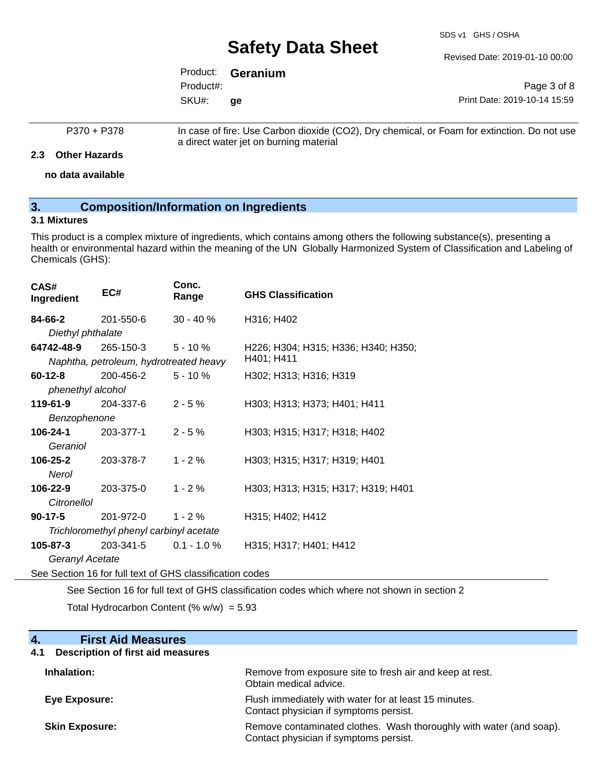SDS v1 GHS / OSHA

Revised Date: 2019-01-10 00:00

|           | Product: <b>Geranium</b> |                              |
|-----------|--------------------------|------------------------------|
| Product#: |                          | Page 3 of 8                  |
| SKU#:     | ae                       | Print Date: 2019-10-14 15:59 |

#### P370 + P378 In case of fire: Use Carbon dioxide (CO2), Dry chemical, or Foam for extinction. Do not use a direct water jet on burning material

**2.3 Other Hazards**

**no data available**

#### **3. Composition/Information on Ingredients**

#### **3.1 Mixtures**

This product is a complex mixture of ingredients, which contains among others the following substance(s), presenting a health or environmental hazard within the meaning of the UN Globally Harmonized System of Classification and Labeling of Chemicals (GHS):

| CAS#<br>Ingredient                                       | EC#                                     | Conc.<br>Range | <b>GHS Classification</b>           |  |
|----------------------------------------------------------|-----------------------------------------|----------------|-------------------------------------|--|
| 84-66-2                                                  | 201-550-6                               | $30 - 40 \%$   | H316; H402                          |  |
| Diethyl phthalate                                        |                                         |                |                                     |  |
| 64742-48-9                                               | 265-150-3                               | $5 - 10 \%$    | H226; H304; H315; H336; H340; H350; |  |
|                                                          | Naphtha, petroleum, hydrotreated heavy  |                | H401; H411                          |  |
| $60 - 12 - 8$                                            | 200-456-2                               | $5 - 10 \%$    | H302; H313; H316; H319              |  |
| phenethyl alcohol                                        |                                         |                |                                     |  |
| 119-61-9                                                 | 204-337-6                               | $2 - 5%$       | H303; H313; H373; H401; H411        |  |
| Benzophenone                                             |                                         |                |                                     |  |
| 106-24-1                                                 | 203-377-1                               | $2 - 5%$       | H303; H315; H317; H318; H402        |  |
| Geraniol                                                 |                                         |                |                                     |  |
| 106-25-2                                                 | 203-378-7                               | $1 - 2%$       | H303; H315; H317; H319; H401        |  |
| Nerol                                                    |                                         |                |                                     |  |
| 106-22-9                                                 | 203-375-0                               | $1 - 2%$       | H303; H313; H315; H317; H319; H401  |  |
| Citronellol                                              |                                         |                |                                     |  |
| $90-17-5$                                                | 201-972-0                               | $1 - 2%$       | H315; H402; H412                    |  |
|                                                          | Trichloromethyl phenyl carbinyl acetate |                |                                     |  |
| $105 - 87 - 3$                                           | 203-341-5 0.1 - 1.0 %                   |                | H315; H317; H401; H412              |  |
| Geranyl Acetate                                          |                                         |                |                                     |  |
| See Section 16 for full text of GHS classification codes |                                         |                |                                     |  |

See Section 16 for full text of GHS classification codes which where not shown in section 2 Total Hydrocarbon Content (%  $w/w$ ) = 5.93

| <b>First Aid Measures</b><br>4.                 |                                                                                                               |
|-------------------------------------------------|---------------------------------------------------------------------------------------------------------------|
| <b>Description of first aid measures</b><br>4.1 |                                                                                                               |
| Inhalation:                                     | Remove from exposure site to fresh air and keep at rest.<br>Obtain medical advice.                            |
| <b>Eye Exposure:</b>                            | Flush immediately with water for at least 15 minutes.<br>Contact physician if symptoms persist.               |
| <b>Skin Exposure:</b>                           | Remove contaminated clothes. Wash thoroughly with water (and soap).<br>Contact physician if symptoms persist. |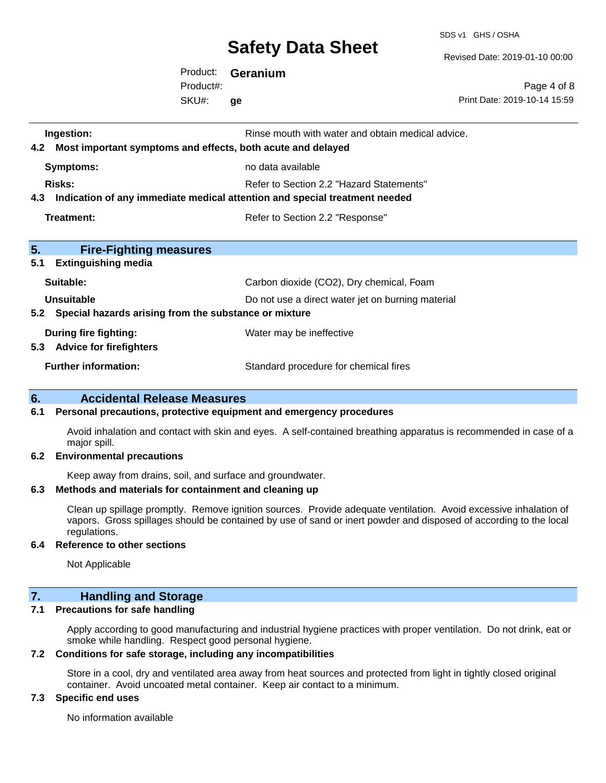SDS v1 GHS / OSHA

Revised Date: 2019-01-10 00:00

Product: **Geranium** SKU#: Product#: **ge**

Page 4 of 8 Print Date: 2019-10-14 15:59

| Ingestion:<br>Most important symptoms and effects, both acute and delayed<br>4.2 | Rinse mouth with water and obtain medical advice.                          |
|----------------------------------------------------------------------------------|----------------------------------------------------------------------------|
| <b>Symptoms:</b>                                                                 | no data available                                                          |
| <b>Risks:</b>                                                                    | Refer to Section 2.2 "Hazard Statements"                                   |
| 4.3                                                                              | Indication of any immediate medical attention and special treatment needed |
| Treatment:                                                                       | Refer to Section 2.2 "Response"                                            |
|                                                                                  |                                                                            |
| 5.<br><b>Fire-Fighting measures</b><br>5.1<br><b>Extinguishing media</b>         |                                                                            |
| Suitable:                                                                        | Carbon dioxide (CO2), Dry chemical, Foam                                   |
| Unsuitable                                                                       | Do not use a direct water jet on burning material                          |
| 5.2 Special hazards arising from the substance or mixture                        |                                                                            |
| <b>During fire fighting:</b>                                                     | Water may be ineffective                                                   |
| 5.3 Advice for firefighters                                                      |                                                                            |
| <b>Further information:</b>                                                      | Standard procedure for chemical fires                                      |
|                                                                                  |                                                                            |

#### **6. Accidental Release Measures**

#### **6.1 Personal precautions, protective equipment and emergency procedures**

Avoid inhalation and contact with skin and eyes. A self-contained breathing apparatus is recommended in case of a major spill.

#### **6.2 Environmental precautions**

Keep away from drains, soil, and surface and groundwater.

#### **6.3 Methods and materials for containment and cleaning up**

Clean up spillage promptly. Remove ignition sources. Provide adequate ventilation. Avoid excessive inhalation of vapors. Gross spillages should be contained by use of sand or inert powder and disposed of according to the local regulations.

#### **6.4 Reference to other sections**

Not Applicable

### **7. Handling and Storage**

#### **7.1 Precautions for safe handling**

Apply according to good manufacturing and industrial hygiene practices with proper ventilation. Do not drink, eat or smoke while handling. Respect good personal hygiene.

#### **7.2 Conditions for safe storage, including any incompatibilities**

Store in a cool, dry and ventilated area away from heat sources and protected from light in tightly closed original container. Avoid uncoated metal container. Keep air contact to a minimum.

#### **7.3 Specific end uses**

No information available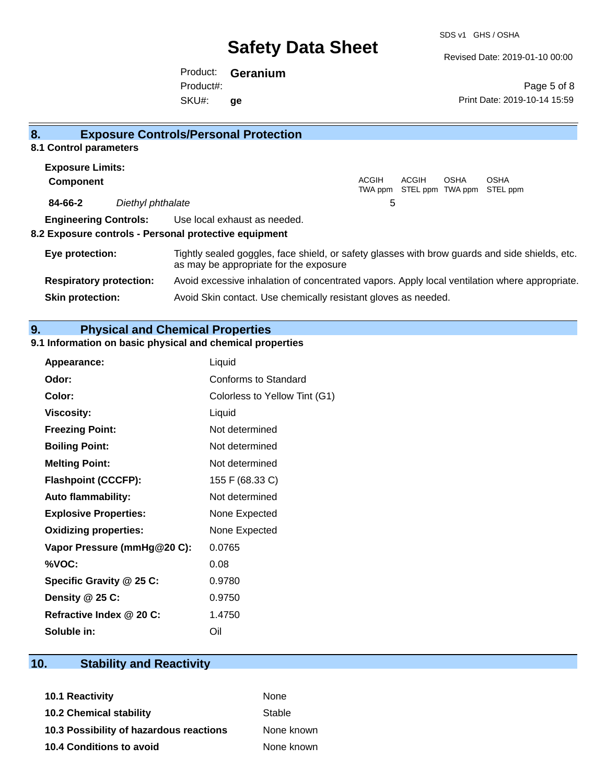SDS v1 GHS / OSHA

Revised Date: 2019-01-10 00:00

Print Date: 2019-10-14 15:59

Page 5 of 8

Product: **Geranium** SKU#: Product#: **ge**

| 8.                      |                                | <b>Exposure Controls/Personal Protection</b>                                                                                             |                         |                                  |             |                  |  |
|-------------------------|--------------------------------|------------------------------------------------------------------------------------------------------------------------------------------|-------------------------|----------------------------------|-------------|------------------|--|
| 8.1 Control parameters  |                                |                                                                                                                                          |                         |                                  |             |                  |  |
| <b>Exposure Limits:</b> |                                |                                                                                                                                          |                         |                                  |             |                  |  |
| <b>Component</b>        |                                |                                                                                                                                          | <b>ACGIH</b><br>TWA ppm | <b>ACGIH</b><br>STEL ppm TWA ppm | <b>OSHA</b> | OSHA<br>STEL ppm |  |
| 84-66-2                 | Diethyl phthalate              |                                                                                                                                          | 5                       |                                  |             |                  |  |
|                         | <b>Engineering Controls:</b>   | Use local exhaust as needed.                                                                                                             |                         |                                  |             |                  |  |
|                         |                                | 8.2 Exposure controls - Personal protective equipment                                                                                    |                         |                                  |             |                  |  |
| Eye protection:         |                                | Tightly sealed goggles, face shield, or safety glasses with brow guards and side shields, etc.<br>as may be appropriate for the exposure |                         |                                  |             |                  |  |
|                         | <b>Respiratory protection:</b> | Avoid excessive inhalation of concentrated vapors. Apply local ventilation where appropriate.                                            |                         |                                  |             |                  |  |
| <b>Skin protection:</b> |                                | Avoid Skin contact. Use chemically resistant gloves as needed.                                                                           |                         |                                  |             |                  |  |

#### **9. Physical and Chemical Properties**

#### **9.1 Information on basic physical and chemical properties**

| Appearance:                  | Liquid                        |
|------------------------------|-------------------------------|
| Odor:                        | Conforms to Standard          |
| Color:                       | Colorless to Yellow Tint (G1) |
| <b>Viscosity:</b>            | Liquid                        |
| <b>Freezing Point:</b>       | Not determined                |
| <b>Boiling Point:</b>        | Not determined                |
| <b>Melting Point:</b>        | Not determined                |
| <b>Flashpoint (CCCFP):</b>   | 155 F (68.33 C)               |
| <b>Auto flammability:</b>    | Not determined                |
| <b>Explosive Properties:</b> | None Expected                 |
| <b>Oxidizing properties:</b> | None Expected                 |
| Vapor Pressure (mmHg@20 C):  | 0.0765                        |
| %VOC:                        | 0.08                          |
| Specific Gravity @ 25 C:     | 0.9780                        |
| Density @ 25 C:              | 0.9750                        |
| Refractive Index @ 20 C:     | 1.4750                        |
| Soluble in:                  | Oil                           |

### **10. Stability and Reactivity**

| <b>10.1 Reactivity</b>                  | None       |
|-----------------------------------------|------------|
| <b>10.2 Chemical stability</b>          | Stable     |
| 10.3 Possibility of hazardous reactions | None known |
| <b>10.4 Conditions to avoid</b>         | None known |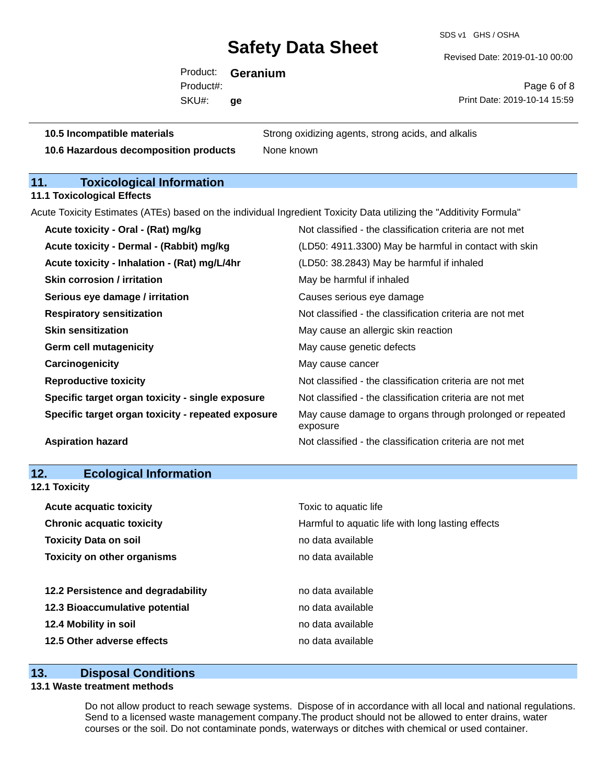SDS v1 GHS / OSHA

Revised Date: 2019-01-10 00:00

Product: **Geranium** SKU#: Product#: **ge**

Page 6 of 8 Print Date: 2019-10-14 15:59

**10.5 Incompatible materials** Strong oxidizing agents, strong acids, and alkalis **10.6 Hazardous decomposition products** None known

### **11. Toxicological Information**

**11.1 Toxicological Effects**

Acute Toxicity Estimates (ATEs) based on the individual Ingredient Toxicity Data utilizing the "Additivity Formula"

| Acute toxicity - Oral - (Rat) mg/kg                | Not classified - the classification criteria are not met             |
|----------------------------------------------------|----------------------------------------------------------------------|
| Acute toxicity - Dermal - (Rabbit) mg/kg           | (LD50: 4911.3300) May be harmful in contact with skin                |
| Acute toxicity - Inhalation - (Rat) mg/L/4hr       | (LD50: 38.2843) May be harmful if inhaled                            |
| Skin corrosion / irritation                        | May be harmful if inhaled                                            |
| Serious eye damage / irritation                    | Causes serious eye damage                                            |
| <b>Respiratory sensitization</b>                   | Not classified - the classification criteria are not met             |
| <b>Skin sensitization</b>                          | May cause an allergic skin reaction                                  |
| <b>Germ cell mutagenicity</b>                      | May cause genetic defects                                            |
| Carcinogenicity                                    | May cause cancer                                                     |
| <b>Reproductive toxicity</b>                       | Not classified - the classification criteria are not met             |
| Specific target organ toxicity - single exposure   | Not classified - the classification criteria are not met             |
| Specific target organ toxicity - repeated exposure | May cause damage to organs through prolonged or repeated<br>exposure |
| <b>Aspiration hazard</b>                           | Not classified - the classification criteria are not met             |
|                                                    |                                                                      |

| 12.<br><b>Ecological Information</b> |                                                   |
|--------------------------------------|---------------------------------------------------|
| 12.1 Toxicity                        |                                                   |
| <b>Acute acquatic toxicity</b>       | Toxic to aquatic life                             |
| <b>Chronic acquatic toxicity</b>     | Harmful to aquatic life with long lasting effects |
| <b>Toxicity Data on soil</b>         | no data available                                 |
| <b>Toxicity on other organisms</b>   | no data available                                 |
|                                      |                                                   |
| 12.2 Persistence and degradability   | no data available                                 |
| 12.3 Bioaccumulative potential       | no data available                                 |
| 12.4 Mobility in soil                | no data available                                 |
| 12.5 Other adverse effects           | no data available                                 |
|                                      |                                                   |

#### **13. Disposal Conditions**

#### **13.1 Waste treatment methods**

Do not allow product to reach sewage systems. Dispose of in accordance with all local and national regulations. Send to a licensed waste management company.The product should not be allowed to enter drains, water courses or the soil. Do not contaminate ponds, waterways or ditches with chemical or used container.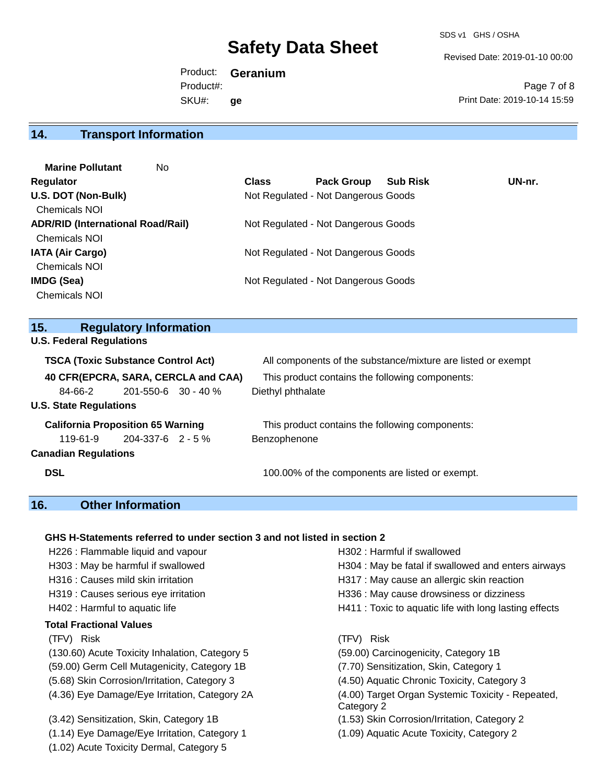SDS v1 GHS / OSHA

Revised Date: 2019-01-10 00:00

Product: **Geranium** SKU#: Product#: **ge**

Page 7 of 8 Print Date: 2019-10-14 15:59

### **14. Transport Information**

| <b>Marine Pollutant</b><br>No.           |              |                                     |                 |        |
|------------------------------------------|--------------|-------------------------------------|-----------------|--------|
| Regulator                                | <b>Class</b> | <b>Pack Group</b>                   | <b>Sub Risk</b> | UN-nr. |
| U.S. DOT (Non-Bulk)                      |              | Not Regulated - Not Dangerous Goods |                 |        |
| <b>Chemicals NOI</b>                     |              |                                     |                 |        |
| <b>ADR/RID (International Road/Rail)</b> |              | Not Regulated - Not Dangerous Goods |                 |        |
| <b>Chemicals NOI</b>                     |              |                                     |                 |        |
| <b>IATA (Air Cargo)</b>                  |              | Not Regulated - Not Dangerous Goods |                 |        |
| <b>Chemicals NOI</b>                     |              |                                     |                 |        |
| <b>IMDG (Sea)</b>                        |              | Not Regulated - Not Dangerous Goods |                 |        |
| <b>Chemicals NOI</b>                     |              |                                     |                 |        |

### **15. Regulatory Information**

**U.S. Federal Regulations**

| <b>TSCA (Toxic Substance Control Act)</b> |                           | All components of the substance/mixture are listed or exempt |  |  |  |
|-------------------------------------------|---------------------------|--------------------------------------------------------------|--|--|--|
| 40 CFR(EPCRA, SARA, CERCLA and CAA)       |                           | This product contains the following components:              |  |  |  |
| 84-66-2                                   | $201 - 550 - 6$ 30 - 40 % | Diethyl phthalate                                            |  |  |  |
| <b>U.S. State Regulations</b>             |                           |                                                              |  |  |  |
| <b>California Proposition 65 Warning</b>  |                           | This product contains the following components:              |  |  |  |
| 119-61-9                                  | 204-337-6 2 - 5 %         | Benzophenone                                                 |  |  |  |
| <b>Canadian Regulations</b>               |                           |                                                              |  |  |  |
| <b>DSL</b>                                |                           | 100.00% of the components are listed or exempt.              |  |  |  |

### **16. Other Information**

#### **GHS H-Statements referred to under section 3 and not listed in section 2**

| H226 : Flammable liquid and vapour             | H302: Harmful if swallowed                                      |
|------------------------------------------------|-----------------------------------------------------------------|
| H303 : May be harmful if swallowed             | H304 : May be fatal if swallowed and enters airways             |
| H316 : Causes mild skin irritation             | H317 : May cause an allergic skin reaction                      |
| H319 : Causes serious eye irritation           | H336 : May cause drowsiness or dizziness                        |
| H402 : Harmful to aquatic life                 | H411 : Toxic to aquatic life with long lasting effects          |
| Total Fractional Values                        |                                                                 |
| (TFV) Risk                                     | (TFV) Risk                                                      |
| (130.60) Acute Toxicity Inhalation, Category 5 | (59.00) Carcinogenicity, Category 1B                            |
| (59.00) Germ Cell Mutagenicity, Category 1B    | (7.70) Sensitization, Skin, Category 1                          |
| (5.68) Skin Corrosion/Irritation, Category 3   | (4.50) Aquatic Chronic Toxicity, Category 3                     |
| (4.36) Eye Damage/Eye Irritation, Category 2A  | (4.00) Target Organ Systemic Toxicity - Repeated,<br>Category 2 |
| (3.42) Sensitization, Skin, Category 1B        | (1.53) Skin Corrosion/Irritation, Category 2                    |
| (1.14) Eye Damage/Eye Irritation, Category 1   | (1.09) Aquatic Acute Toxicity, Category 2                       |
| (1.02) Acute Toxicity Dermal, Category 5       |                                                                 |